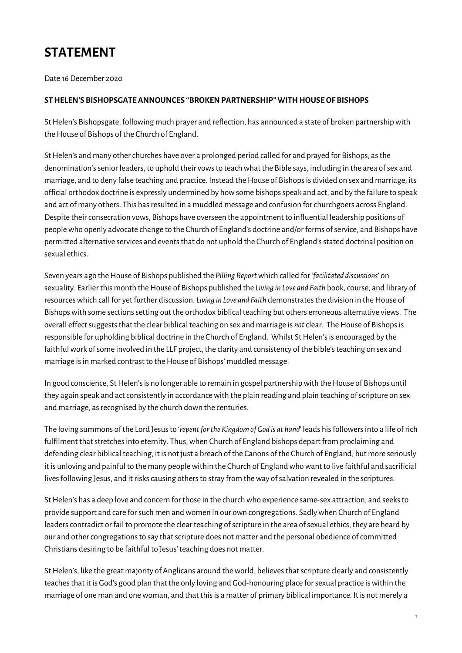## **STATEMENT**

Date 16 December 2020

## **STHELEN'S BISHOPSGATEANNOUNCES "BROKENPARTNERSHIP"WITHHOUSEOF BISHOPS**

StHelen's Bishopsgate, following much prayer and reflection, has announced a state of broken partnershipwith the House of Bishops of the Church of England.

St Helen's and many other churches have over a prolonged period called for and prayed for Bishops, as the denomination'ssenior leaders, to uphold their vowsto teachwhat the Bible says, including in the area ofsex and marriage, and to deny false teaching and practice. Instead the House of Bishops is divided on sex and marriage; its official orthodox doctrine is expressly undermined by how some bishops speak and act, and by the failure to speak and act of many others. This has resulted in a muddled message and confusion for churchgoers across England. Despite their consecration vows, Bishops have overseen the appointment to influential leadership positions of peoplewho openly advocate change to the Church of England's doctrine and/or forms ofservice, and Bishops have permitted alternative services and events that do not uphold the Church of England's stated doctrinal position on sexual ethics.

Seven years ago theHouse of Bishops published the *Pilling Report*which called for '*facilitated discussions*' on sexuality. Earlier this month theHouse of Bishops published the *Living in Love and Faith* book,course, and library of resources which call for yet further discussion. Living in Love and Faith demonstrates the division in the House of Bishops with some sections setting out the orthodox biblical teaching but others erroneous alternative views. The overall effect suggests that the clear biblical teaching on sex and marriage is *not* clear. The House of Bishops is responsible for upholding biblical doctrine in the Church of England. Whilst St Helen's is encouraged by the faithful work of some involved in the LLF project, the clarity and consistency of the bible's teaching on sex and marriage is in marked contrast to the House of Bishops' muddled message.

In good conscience, St Helen's is no longer able to remain in gospel partnership with the House of Bishops until they again speak and act consistently in accordance with the plain reading and plain teaching of scripture on sex and marriage, as recognised by the church down the centuries.

The loving summons of the Lord Jesusto '*repentforthe Kingdom of God is at hand*' leads hisfollowersinto a life of rich fulfilment that stretches into eternity. Thus, when Church of England bishops depart from proclaiming and defending clear biblical teaching, it is not just a breach of the Canons of the Church of England, but more seriously it is unloving and painful to the many peoplewithin the Church of Englandwhowant to live faithful and sacrificial lives following Jesus, and it risks causing others to stray from the way of salvation revealed in the scriptures.

St Helen's has a deep love and concern for those in the church who experience same-sex attraction, and seeks to provide support and care forsuch men andwomen in our own congregations. Sadlywhen Church of England leaders contradict or fail to promote the clear teaching of scripture in the area of sexual ethics, they are heard by our and other congregations to say that scripture does not matter and the personal obedience of committed Christians desiring to be faithful to Jesus' teaching does not matter.

St Helen's, like the great majority of Anglicans around the world, believes that scripture clearly and consistently teachesthat it is God's good plan that the only loving and God-honouring place forsexual practice iswithin the marriage of one man and one woman, and that this is a matter of primary biblical importance. It is not merely a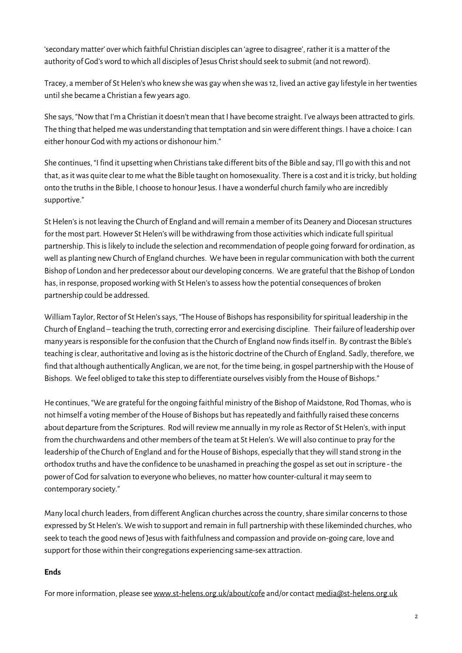'secondary matter' overwhich faithful Christian disciplescan 'agree to disagree', rather it is a matter of the authority of God's word to which all disciples of Jesus Christ should seek to submit (and not reword).

Tracey, a member of St Helen's who knew she was gay when she was 12, lived an active gay lifestyle in her twenties untilshe became a Christian a fewyears ago.

She says, "Nowthat I'm a Christian it doesn't mean that I have become straight. I've always been attracted to girls. The thing that helped mewas understanding that temptation and sinwere different things. I have a choice: Ican either honour Godwith my actions or dishonour him."

She continues, "I find it upsetting when Christians take different bits of the Bible and say, I'll go with this and not that, as it was quite clear to me what the Bible taught on homosexuality. There is a cost and it is tricky, but holding onto the truths in the Bible, I choose to honour Jesus. I have a wonderful church family who are incredibly supportive."

St Helen's is not leaving the Church of England and will remain a member of its Deanery and Diocesan structures for the most part. However St Helen's will be withdrawing from those activities which indicate full spiritual partnership. Thisislikely to include the selection and recommendation of people going forward for ordination, as well as planting new Church of England churches. We have been in regular communication with both the current Bishop of London and her predecessor about our developing concerns. We are grateful that the Bishop of London has, in response, proposed working with St Helen's to assess how the potential consequences of broken partnership could be addressed.

William Taylor, Rector of St Helen's says, "The House of Bishops has responsibility for spiritual leadership in the Church of England – teaching the truth, correcting error and exercising discipline. Their failure of leadership over many yearsisresponsible for the confusion that the Church of England nowfindsitself in. By contrast the Bible's teaching is clear, authoritative and loving as is the historic doctrine of the Church of England. Sadly, therefore, we find that although authentically Anglican, we are not, for the time being, in gospel partnership with the House of Bishops. We feel obliged to take this step to differentiate ourselves visibly from the House of Bishops."

He continues, "We are grateful for the ongoing faithful ministry of the Bishop of Maidstone, Rod Thomas,who is not himself a voting member of the House of Bishops but has repeatedly and faithfully raised these concerns about departure from the Scriptures. Rod will review me annually in my role as Rector of St Helen's, with input from the churchwardens and other members of the team at St Helen's. We will also continue to pray for the leadership of the Church of England and for the House of Bishops, especially that they will stand strong in the orthodox truths and have the confidence to be unashamed in preaching the gospel asset out in scripture - the power of God for salvation to everyone who believes, no matter how counter-cultural it may seem to contemporary society."

Many local church leaders, from different Anglican churches across the country, share similar concerns to those expressed by St Helen's. We wish to support and remain in full partnership with these likeminded churches, who seek to teach the good news of Jesus with faithfulness and compassion and provide on-going care, love and support for those within their congregations experiencing same-sex attraction.

## **Ends**

For more information, please see www.st-helens.org.uk/about/cofe and/or contact media@st-helens.org.uk